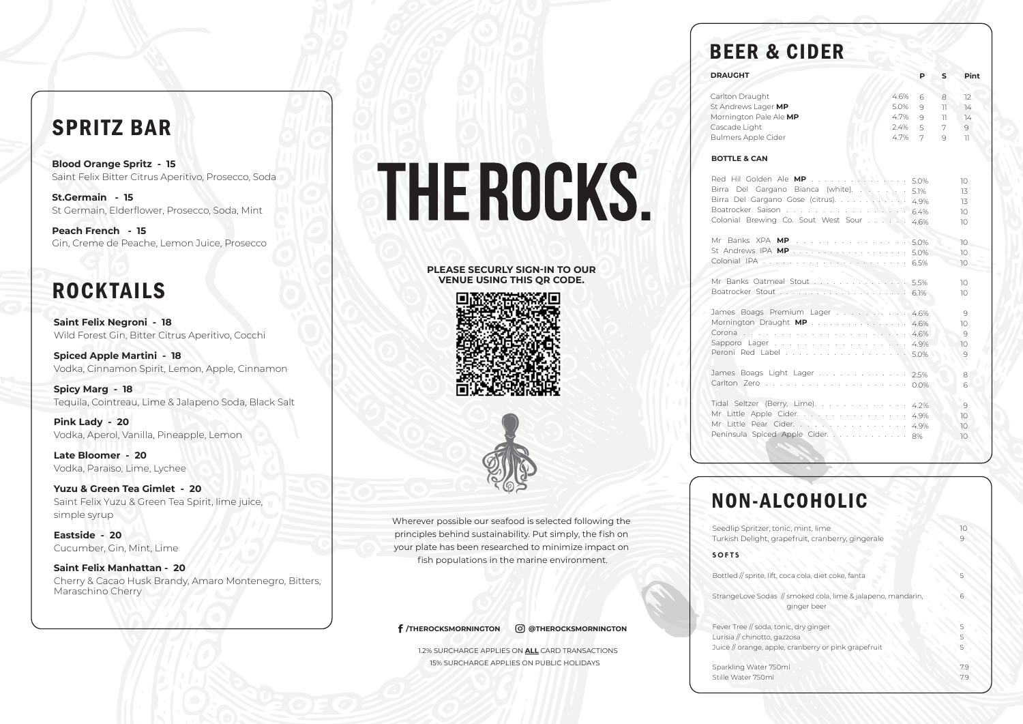**/THEROCKSMORNINGTON @THEROCKSMORNINGTON**

1.2% SURCHARGE APPLIES ON **ALL** CARD TRANSACTIONS 15% SURCHARGE APPLIES ON PUBLIC HOLIDAYS

# **BEER &**

Carlton Draught **St Andrews Lager Mornington Pale** Cascade Light Bulmers Apple Ci

Wherever possible our seafood is selected following the principles behind sustainability. Put simply, the fish on your plate has been researched to minimize impact on fish populations in the marine environment.

#### **DRAUGHT**

#### **BOTTLE & CAN**

Red Hil Golden Birra Del Garga Birra Del Gargan Boatrocker Saisc Colonial Brewing

Mr Banks XPA St Andrews IPA Colonial IPA

Mr Banks Oatm Boatrocker Stout

James Boags P Mornington Drau Corona . Sapporo Lager Peroni Red Lab

James Boags Li Carlton Zero .

Tidal Seltzer (Be Mr Little Apple. Mr Little Pear Peninsula Spiced Apple Cider. . . . . . . . . . . . .

**Saint Felix Negroni - 18**  Wild Forest Gin, Bitter Citrus Aperitivo, Cocchi

**Spiced Apple Martini - 18** Vodka, Cinnamon Spirit, Lemon, Apple, Cinnamon

**Spicy Marg - 18** Tequila, Cointreau, Lime & Jalapeno Soda, Black Salt

**Pink Lady - 20** Vodka, Aperol, Vanilla, Pineapple, Lemon

**Late Bloomer - 20** Vodka, Paraiso, Lime, Lychee

**Yuzu & Green Tea Gimlet - 20** Saint Felix Yuzu & Green Tea Spirit, lime juice, simple syrup

**Eastside - 20** Cucumber, Gin, Mint, Lime

**Saint Felix Manhattan - 20** Cherry & Cacao Husk Brandy, Amaro Montenegro, Bitters, Maraschino Cherry

# THE ROCKS.

# SPRITZ BAR

**Blood Orange Spritz - 15** Saint Felix Bitter Citrus Aperitivo, Prosecco, Soda

**St.Germain - 15** St Germain, Elderflower, Prosecco, Soda, Mint

**Peach French - 15** Gin, Creme de Peache, Lemon Juice, Prosecco

# **ROCKTAILS**

| <b><i>CIDER</i></b>                                                                                             |                                      |                                            |                         |                                         |
|-----------------------------------------------------------------------------------------------------------------|--------------------------------------|--------------------------------------------|-------------------------|-----------------------------------------|
|                                                                                                                 |                                      | P                                          | S                       | Pint                                    |
| <b>MP</b><br>Ale MP<br>der                                                                                      | 4.6%<br>5.0%<br>4.7%<br>2.4%<br>4.7% | 6<br>9<br>9<br>5<br>7                      | 8<br>11<br>11<br>7<br>9 | 12<br>14<br>$\overline{14}$<br>9<br>11. |
| Ale <b>MP</b><br>ano Bianca (white). .<br>no Gose (citrus).<br>$\mathsf{on}$<br>g Co. Sout West Sour            |                                      | 5.0%<br>5.1%<br>4.9%<br>6.4%<br>4.6%       |                         | 10<br>13<br>13<br>10<br>10              |
| <b>MP</b><br><b>MP</b><br><b>STATISTICS</b> In the State of the<br>أأبا وسطاء<br>$\sim 10^{-1}$<br>and a series | and a series of                      | $-5.0\%$<br>5.0%<br>6.5%                   |                         | 10<br>10<br>10                          |
| eal Stout<br>$\sim 10^7$                                                                                        |                                      | 5.5%<br>6.1%                               |                         | 10<br>10                                |
| remium Lager :<br>ught MP<br>.<br>a na kama na kama na kama na kama na k<br>el                                  |                                      | .4.6%<br>$4.6\%$<br>. 4.6%<br>4.9%<br>5.0% |                         | 9<br>10<br>$\Theta$<br>10<br>9          |
| ight Lager.<br><b>Carl Corporation</b>                                                                          |                                      | 2.5%<br>0.0%                               |                         | 8<br>6                                  |
| erry, Lime).<br>Cider.<br>Cider.<br>d Apple Cider.                                                              | . 4.9%                               | $4.2\%$<br>4.9%<br>8%                      |                         | $\Theta$<br>10<br>10<br>10              |

#### **PLEASE SECURLY SIGN-IN TO OUR VENUE USING THIS QR CODE.**



## NON-ALCOHOLIC

**SOFTS** 

Bottled  $//$  sprite, lift

StrangeLove Soda

Fever Tree // soda, Lurisia // chinotto, Juice // orange, ap

| Seedlip Spritzer, tonic, mint, lime<br>Turkish Delight, grapefruit, cranberry, gingerale                                      | 10         |
|-------------------------------------------------------------------------------------------------------------------------------|------------|
| <b>SOFTS</b>                                                                                                                  |            |
| Bottled // sprite, lift, coca cola, diet coke, fanta                                                                          |            |
| StrangeLove Sodas // smoked cola, lime & jalapeno, mandarin,<br>ginger beer                                                   |            |
| Fever Tree // soda, tonic, dry ginger<br>Lurisia // chinotto, gazzosa<br>Juice // orange, apple, cranberry or pink grapefruit |            |
| Sparkling Water 750ml<br>Stille Water 750ml                                                                                   | 7.9<br>7.9 |